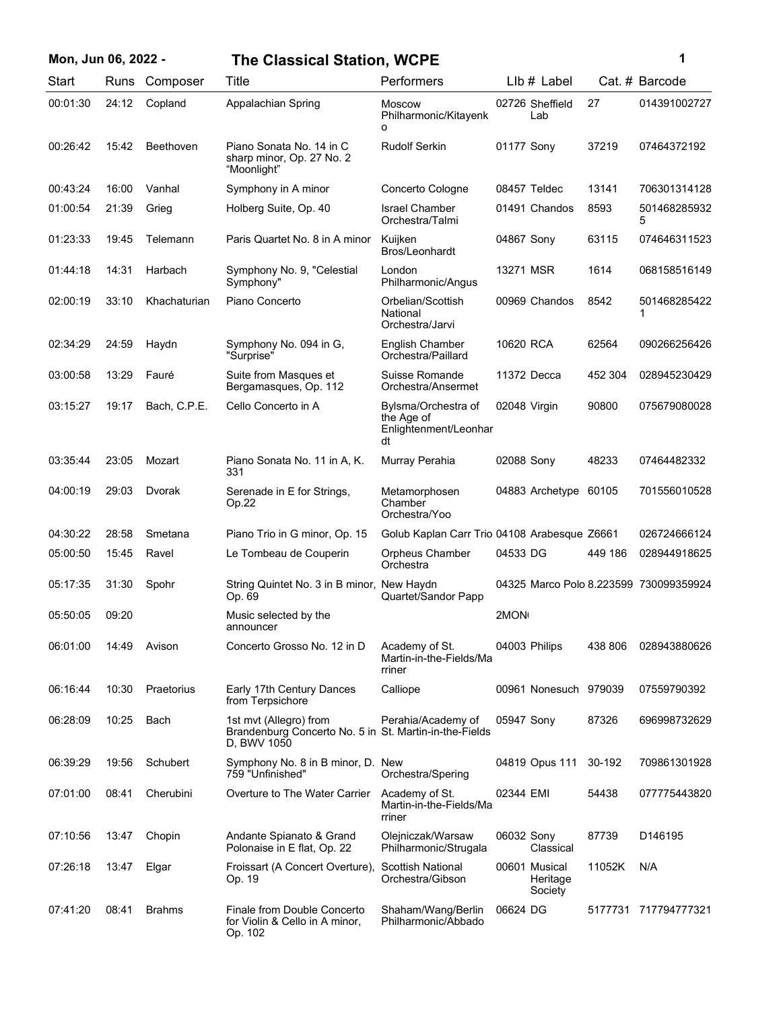| Mon, Jun 06, 2022 - |       |               | <b>The Classical Station, WCPE</b>                                                              |                                                                  |                                        |         | 1                 |
|---------------------|-------|---------------|-------------------------------------------------------------------------------------------------|------------------------------------------------------------------|----------------------------------------|---------|-------------------|
| Start               | Runs  | Composer      | Title                                                                                           | Performers                                                       | LIb # Label                            |         | Cat. # Barcode    |
| 00:01:30            | 24:12 | Copland       | Appalachian Spring                                                                              | <b>Moscow</b><br>Philharmonic/Kitayenk<br>o                      | 02726 Sheffield<br>Lab                 | 27      | 014391002727      |
| 00:26:42            | 15:42 | Beethoven     | Piano Sonata No. 14 in C<br>sharp minor, Op. 27 No. 2<br>"Moonlight"                            | <b>Rudolf Serkin</b>                                             | 01177 Sony                             | 37219   | 07464372192       |
| 00:43:24            | 16:00 | Vanhal        | Symphony in A minor                                                                             | Concerto Cologne                                                 | 08457 Teldec                           | 13141   | 706301314128      |
| 01:00:54            | 21:39 | Grieg         | Holberg Suite, Op. 40                                                                           | <b>Israel Chamber</b><br>Orchestra/Talmi                         | 01491 Chandos                          | 8593    | 501468285932<br>5 |
| 01:23:33            | 19:45 | Telemann      | Paris Quartet No. 8 in A minor                                                                  | Kuijken<br>Bros/Leonhardt                                        | 04867 Sony                             | 63115   | 074646311523      |
| 01:44:18            | 14:31 | Harbach       | Symphony No. 9, "Celestial<br>Symphony"                                                         | London<br>Philharmonic/Angus                                     | 13271 MSR                              | 1614    | 068158516149      |
| 02:00:19            | 33:10 | Khachaturian  | Piano Concerto                                                                                  | Orbelian/Scottish<br>National<br>Orchestra/Jarvi                 | 00969 Chandos                          | 8542    | 501468285422      |
| 02:34:29            | 24:59 | Haydn         | Symphony No. 094 in G,<br>"Surprise"                                                            | English Chamber<br>Orchestra/Paillard                            | 10620 RCA                              | 62564   | 090266256426      |
| 03:00:58            | 13:29 | Fauré         | Suite from Masques et<br>Bergamasques, Op. 112                                                  | Suisse Romande<br>Orchestra/Ansermet                             | 11372 Decca                            | 452 304 | 028945230429      |
| 03:15:27            | 19:17 | Bach, C.P.E.  | Cello Concerto in A                                                                             | Bylsma/Orchestra of<br>the Age of<br>Enlightenment/Leonhar<br>dt | 02048 Virgin                           | 90800   | 075679080028      |
| 03:35:44            | 23:05 | Mozart        | Piano Sonata No. 11 in A, K.<br>331                                                             | Murray Perahia                                                   | 02088 Sony                             | 48233   | 07464482332       |
| 04:00:19            | 29:03 | Dvorak        | Serenade in E for Strings,<br>Op.22                                                             | Metamorphosen<br>Chamber<br>Orchestra/Yoo                        | 04883 Archetype                        | 60105   | 701556010528      |
| 04:30:22            | 28:58 | Smetana       | Piano Trio in G minor, Op. 15                                                                   | Golub Kaplan Carr Trio 04108 Arabesque Z6661                     |                                        |         | 026724666124      |
| 05:00:50            | 15:45 | Ravel         | Le Tombeau de Couperin                                                                          | Orpheus Chamber<br>Orchestra                                     | 04533 DG                               | 449 186 | 028944918625      |
| 05:17:35            | 31:30 | Spohr         | String Quintet No. 3 in B minor, New Haydn<br>Op. 69                                            | Quartet/Sandor Papp                                              | 04325 Marco Polo 8.223599 730099359924 |         |                   |
| 05:50:05            | 09:20 |               | Music selected by the<br>announcer                                                              |                                                                  | 2MON <sub>1</sub>                      |         |                   |
| 06:01:00            | 14:49 | Avison        | Concerto Grosso No. 12 in D                                                                     | Academy of St.<br>Martin-in-the-Fields/Ma<br>rriner              | 04003 Philips                          | 438 806 | 028943880626      |
| 06:16:44            | 10:30 | Praetorius    | Early 17th Century Dances<br>from Terpsichore                                                   | Calliope                                                         | 00961 Nonesuch 979039                  |         | 07559790392       |
| 06:28:09            | 10:25 | Bach          | 1st mvt (Allegro) from<br>Brandenburg Concerto No. 5 in St. Martin-in-the-Fields<br>D, BWV 1050 | Perahia/Academy of                                               | 05947 Sony                             | 87326   | 696998732629      |
| 06:39:29            | 19:56 | Schubert      | Symphony No. 8 in B minor, D. New<br>759 "Unfinished"                                           | Orchestra/Spering                                                | 04819 Opus 111                         | 30-192  | 709861301928      |
| 07:01:00            | 08:41 | Cherubini     | Overture to The Water Carrier                                                                   | Academy of St.<br>Martin-in-the-Fields/Ma<br>rriner              | 02344 EMI                              | 54438   | 077775443820      |
| 07:10:56            | 13:47 | Chopin        | Andante Spianato & Grand<br>Polonaise in E flat, Op. 22                                         | Olejniczak/Warsaw<br>Philharmonic/Strugala                       | 06032 Sony<br>Classical                | 87739   | D146195           |
| 07:26:18            | 13:47 | Elgar         | Froissart (A Concert Overture),<br>Op. 19                                                       | Scottish National<br>Orchestra/Gibson                            | 00601 Musical<br>Heritage<br>Society   | 11052K  | N/A               |
| 07:41:20            | 08:41 | <b>Brahms</b> | Finale from Double Concerto<br>for Violin & Cello in A minor,<br>Op. 102                        | Shaham/Wang/Berlin<br>Philharmonic/Abbado                        | 06624 DG                               | 5177731 | 717794777321      |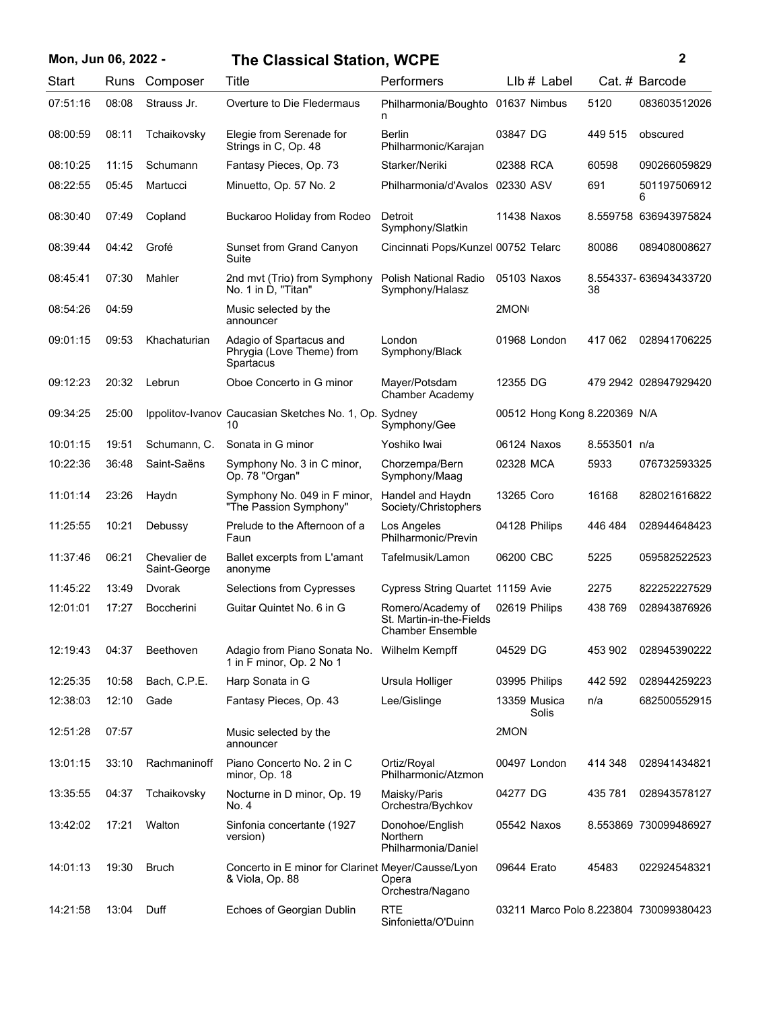| Mon, Jun 06, 2022 - |       |                              | <b>The Classical Station, WCPE</b>                                    |                                                                          |                                        |              | $\mathbf{2}$          |
|---------------------|-------|------------------------------|-----------------------------------------------------------------------|--------------------------------------------------------------------------|----------------------------------------|--------------|-----------------------|
| Start               | Runs  | Composer                     | Title                                                                 | Performers                                                               | LIb # Label                            |              | Cat. # Barcode        |
| 07:51:16            | 08:08 | Strauss Jr.                  | Overture to Die Fledermaus                                            | Philharmonia/Boughto 01637 Nimbus<br>n                                   |                                        | 5120         | 083603512026          |
| 08:00:59            | 08:11 | Tchaikovsky                  | Elegie from Serenade for<br>Strings in C, Op. 48                      | <b>Berlin</b><br>Philharmonic/Karajan                                    | 03847 DG                               | 449 515      | obscured              |
| 08:10:25            | 11:15 | Schumann                     | Fantasy Pieces, Op. 73                                                | Starker/Neriki                                                           | 02388 RCA                              | 60598        | 090266059829          |
| 08:22:55            | 05:45 | Martucci                     | Minuetto, Op. 57 No. 2                                                | Philharmonia/d'Avalos                                                    | 02330 ASV                              | 691          | 501197506912<br>6     |
| 08:30:40            | 07:49 | Copland                      | Buckaroo Holiday from Rodeo                                           | Detroit<br>Symphony/Slatkin                                              | 11438 Naxos                            |              | 8.559758 636943975824 |
| 08:39:44            | 04:42 | Grofé                        | Sunset from Grand Canyon<br>Suite                                     | Cincinnati Pops/Kunzel 00752 Telarc                                      |                                        | 80086        | 089408008627          |
| 08:45:41            | 07:30 | Mahler                       | 2nd mvt (Trio) from Symphony<br>No. 1 in D, "Titan"                   | Polish National Radio<br>Symphony/Halasz                                 | 05103 Naxos                            | 38           | 8.554337-636943433720 |
| 08:54:26            | 04:59 |                              | Music selected by the<br>announcer                                    |                                                                          | 2MON                                   |              |                       |
| 09:01:15            | 09:53 | Khachaturian                 | Adagio of Spartacus and<br>Phrygia (Love Theme) from<br>Spartacus     | London<br>Symphony/Black                                                 | 01968 London                           | 417 062      | 028941706225          |
| 09:12:23            | 20:32 | Lebrun                       | Oboe Concerto in G minor                                              | Mayer/Potsdam<br>Chamber Academy                                         | 12355 DG                               |              | 479 2942 028947929420 |
| 09:34:25            | 25:00 |                              | Ippolitov-Ivanov Caucasian Sketches No. 1, Op. Sydney<br>10           | Symphony/Gee                                                             | 00512 Hong Kong 8.220369 N/A           |              |                       |
| 10:01:15            | 19:51 | Schumann, C.                 | Sonata in G minor                                                     | Yoshiko Iwai                                                             | 06124 Naxos                            | 8.553501 n/a |                       |
| 10:22:36            | 36:48 | Saint-Saëns                  | Symphony No. 3 in C minor,<br>Op. 78 "Organ"                          | Chorzempa/Bern<br>Symphony/Maag                                          | 02328 MCA                              | 5933         | 076732593325          |
| 11:01:14            | 23:26 | Haydn                        | Symphony No. 049 in F minor,<br>"The Passion Symphony"                | Handel and Haydn<br>Society/Christophers                                 | 13265 Coro                             | 16168        | 828021616822          |
| 11:25:55            | 10:21 | Debussy                      | Prelude to the Afternoon of a<br>Faun                                 | Los Angeles<br>Philharmonic/Previn                                       | 04128 Philips                          | 446 484      | 028944648423          |
| 11:37:46            | 06:21 | Chevalier de<br>Saint-George | Ballet excerpts from L'amant<br>anonyme                               | Tafelmusik/Lamon                                                         | 06200 CBC                              | 5225         | 059582522523          |
| 11:45:22            | 13:49 | Dvorak                       | <b>Selections from Cypresses</b>                                      | Cypress String Quartet 11159 Avie                                        |                                        | 2275         | 822252227529          |
| 12:01:01            | 17:27 | <b>Boccherini</b>            | Guitar Quintet No. 6 in G                                             | Romero/Academy of<br>St. Martin-in-the-Fields<br><b>Chamber Ensemble</b> | 02619 Philips                          | 438 769      | 028943876926          |
| 12:19:43            | 04:37 | Beethoven                    | Adagio from Piano Sonata No.<br>1 in F minor, Op. 2 No 1              | Wilhelm Kempff                                                           | 04529 DG                               | 453 902      | 028945390222          |
| 12:25:35            | 10:58 | Bach, C.P.E.                 | Harp Sonata in G                                                      | Ursula Holliger                                                          | 03995 Philips                          | 442 592      | 028944259223          |
| 12:38:03            | 12:10 | Gade                         | Fantasy Pieces, Op. 43                                                | Lee/Gislinge                                                             | 13359 Musica<br>Solis                  | n/a          | 682500552915          |
| 12:51:28            | 07:57 |                              | Music selected by the<br>announcer                                    |                                                                          | 2MON                                   |              |                       |
| 13:01:15            | 33:10 | Rachmaninoff                 | Piano Concerto No. 2 in C<br>minor, Op. 18                            | Ortiz/Royal<br>Philharmonic/Atzmon                                       | 00497 London                           | 414 348      | 028941434821          |
| 13:35:55            | 04:37 | Tchaikovsky                  | Nocturne in D minor, Op. 19<br>No. 4                                  | Maisky/Paris<br>Orchestra/Bychkov                                        | 04277 DG                               | 435 781      | 028943578127          |
| 13:42:02            | 17:21 | Walton                       | Sinfonia concertante (1927<br>version)                                | Donohoe/English<br><b>Northern</b><br>Philharmonia/Daniel                | 05542 Naxos                            |              | 8.553869 730099486927 |
| 14:01:13            | 19:30 | Bruch                        | Concerto in E minor for Clarinet Meyer/Causse/Lyon<br>& Viola, Op. 88 | Opera<br>Orchestra/Nagano                                                | 09644 Erato                            | 45483        | 022924548321          |
| 14:21:58            | 13:04 | Duff                         | Echoes of Georgian Dublin                                             | <b>RTE</b><br>Sinfonietta/O'Duinn                                        | 03211 Marco Polo 8.223804 730099380423 |              |                       |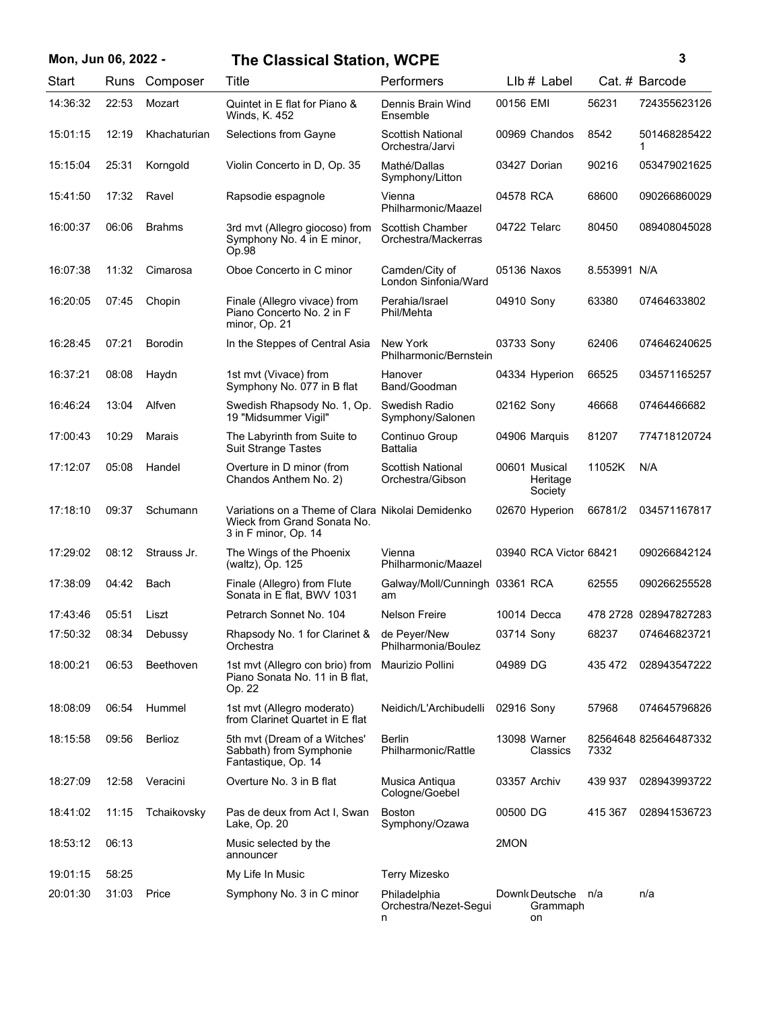## **Mon, Jun 06, 2022 - 3 The Classical Station, WCPE**

| ٦ |   |  |
|---|---|--|
|   |   |  |
|   |   |  |
|   |   |  |
|   | I |  |

| Start    | Runs  | Composer       | Title                                                                                                   | Performers                                 | LIb # Label                          |              | Cat. # Barcode        |
|----------|-------|----------------|---------------------------------------------------------------------------------------------------------|--------------------------------------------|--------------------------------------|--------------|-----------------------|
| 14:36:32 | 22:53 | Mozart         | Quintet in E flat for Piano &<br>Winds, K. 452                                                          | Dennis Brain Wind<br>Ensemble              | 00156 EMI                            | 56231        | 724355623126          |
| 15:01:15 | 12:19 | Khachaturian   | Selections from Gayne                                                                                   | Scottish National<br>Orchestra/Jarvi       | 00969 Chandos                        | 8542         | 501468285422<br>1     |
| 15:15:04 | 25:31 | Korngold       | Violin Concerto in D, Op. 35                                                                            | Mathé/Dallas<br>Symphony/Litton            | 03427 Dorian                         | 90216        | 053479021625          |
| 15:41:50 | 17:32 | Ravel          | Rapsodie espagnole                                                                                      | Vienna<br>Philharmonic/Maazel              | 04578 RCA                            | 68600        | 090266860029          |
| 16:00:37 | 06:06 | <b>Brahms</b>  | 3rd mvt (Allegro giocoso) from<br>Symphony No. 4 in E minor,<br>Op.98                                   | Scottish Chamber<br>Orchestra/Mackerras    | 04722 Telarc                         | 80450        | 089408045028          |
| 16:07:38 | 11:32 | Cimarosa       | Oboe Concerto in C minor                                                                                | Camden/City of<br>London Sinfonia/Ward     | 05136 Naxos                          | 8.553991 N/A |                       |
| 16:20:05 | 07:45 | Chopin         | Finale (Allegro vivace) from<br>Piano Concerto No. 2 in F<br>minor, Op. 21                              | Perahia/Israel<br>Phil/Mehta               | 04910 Sony                           | 63380        | 07464633802           |
| 16:28:45 | 07:21 | <b>Borodin</b> | In the Steppes of Central Asia                                                                          | New York<br>Philharmonic/Bernstein         | 03733 Sony                           | 62406        | 074646240625          |
| 16:37:21 | 08:08 | Haydn          | 1st mvt (Vivace) from<br>Symphony No. 077 in B flat                                                     | Hanover<br>Band/Goodman                    | 04334 Hyperion                       | 66525        | 034571165257          |
| 16:46:24 | 13:04 | Alfven         | Swedish Rhapsody No. 1, Op.<br>19 "Midsummer Vigil"                                                     | Swedish Radio<br>Symphony/Salonen          | 02162 Sony                           | 46668        | 07464466682           |
| 17:00:43 | 10:29 | Marais         | The Labyrinth from Suite to<br><b>Suit Strange Tastes</b>                                               | Continuo Group<br><b>Battalia</b>          | 04906 Marquis                        | 81207        | 774718120724          |
| 17:12:07 | 05:08 | Handel         | Overture in D minor (from<br>Chandos Anthem No. 2)                                                      | Scottish National<br>Orchestra/Gibson      | 00601 Musical<br>Heritage<br>Society | 11052K       | N/A                   |
| 17:18:10 | 09:37 | Schumann       | Variations on a Theme of Clara Nikolai Demidenko<br>Wieck from Grand Sonata No.<br>3 in F minor, Op. 14 |                                            | 02670 Hyperion                       | 66781/2      | 034571167817          |
| 17:29:02 | 08:12 | Strauss Jr.    | The Wings of the Phoenix<br>(waltz), Op. 125                                                            | Vienna<br>Philharmonic/Maazel              | 03940 RCA Victor 68421               |              | 090266842124          |
| 17:38:09 | 04:42 | Bach           | Finale (Allegro) from Flute<br>Sonata in E flat, BWV 1031                                               | Galway/Moll/Cunningh 03361 RCA<br>am       |                                      | 62555        | 090266255528          |
| 17:43:46 | 05:51 | Liszt          | Petrarch Sonnet No. 104                                                                                 | <b>Nelson Freire</b>                       | 10014 Decca                          |              | 478 2728 028947827283 |
| 17:50:32 | 08:34 | Debussy        | Rhapsody No. 1 for Clarinet &<br>Orchestra                                                              | de Peyer/New<br>Philharmonia/Boulez        | 03714 Sony                           | 68237        | 074646823721          |
| 18:00:21 | 06:53 | Beethoven      | 1st mvt (Allegro con brio) from<br>Piano Sonata No. 11 in B flat,<br>Op. 22                             | Maurizio Pollini                           | 04989 DG                             | 435 472      | 028943547222          |
| 18:08:09 | 06:54 | Hummel         | 1st mvt (Allegro moderato)<br>from Clarinet Quartet in E flat                                           | Neidich/L'Archibudelli                     | 02916 Sony                           | 57968        | 074645796826          |
| 18:15:58 | 09:56 | Berlioz        | 5th mvt (Dream of a Witches'<br>Sabbath) from Symphonie<br>Fantastique, Op. 14                          | <b>Berlin</b><br>Philharmonic/Rattle       | 13098 Warner<br>Classics             | 7332         | 82564648 825646487332 |
| 18:27:09 | 12:58 | Veracini       | Overture No. 3 in B flat                                                                                | Musica Antiqua<br>Cologne/Goebel           | 03357 Archiv                         | 439 937      | 028943993722          |
| 18:41:02 | 11:15 | Tchaikovsky    | Pas de deux from Act I, Swan<br>Lake, Op. 20                                                            | Boston<br>Symphony/Ozawa                   | 00500 DG                             | 415 367      | 028941536723          |
| 18:53:12 | 06:13 |                | Music selected by the<br>announcer                                                                      |                                            | 2MON                                 |              |                       |
| 19:01:15 | 58:25 |                | My Life In Music                                                                                        | <b>Terry Mizesko</b>                       |                                      |              |                       |
| 20:01:30 | 31:03 | Price          | Symphony No. 3 in C minor                                                                               | Philadelphia<br>Orchestra/Nezet-Segui<br>n | Downk Deutsche<br>Grammaph<br>on     | n/a          | n/a                   |